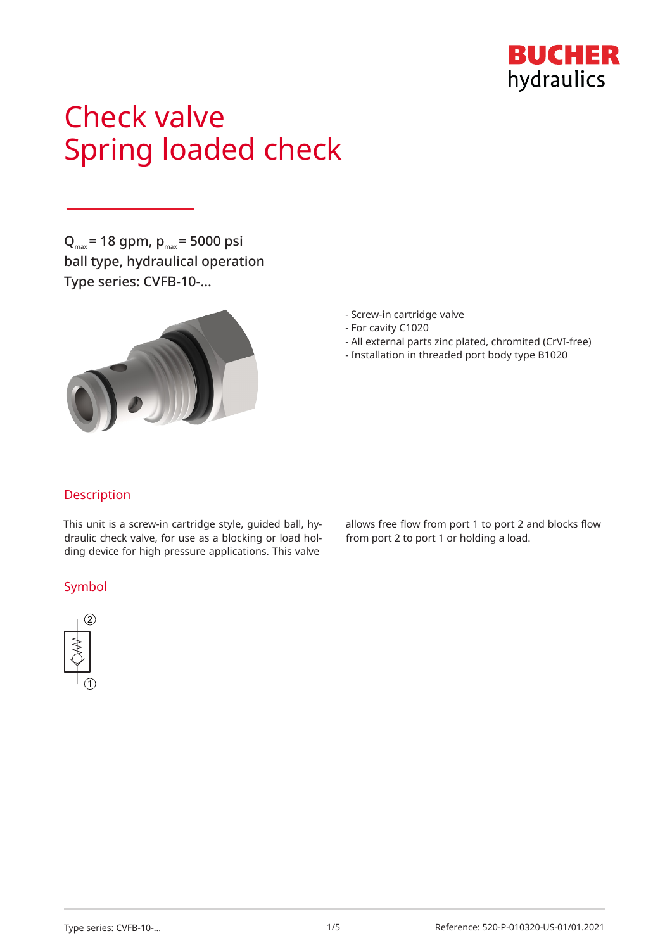

# Check valve Spring loaded check

 $Q_{\text{max}}$  = 18 gpm,  $p_{\text{max}}$  = 5000 psi ball type, hydraulical operation Type series: CVFB-10-…



- Screw-in cartridge valve
- For cavity C1020
- All external parts zinc plated, chromited (CrVI-free)
- Installation in threaded port body type B1020

## Description

This unit is a screw-in cartridge style, guided ball, hydraulic check valve, for use as a blocking or load holding device for high pressure applications. This valve

## Symbol



allows free flow from port 1 to port 2 and blocks flow from port 2 to port 1 or holding a load.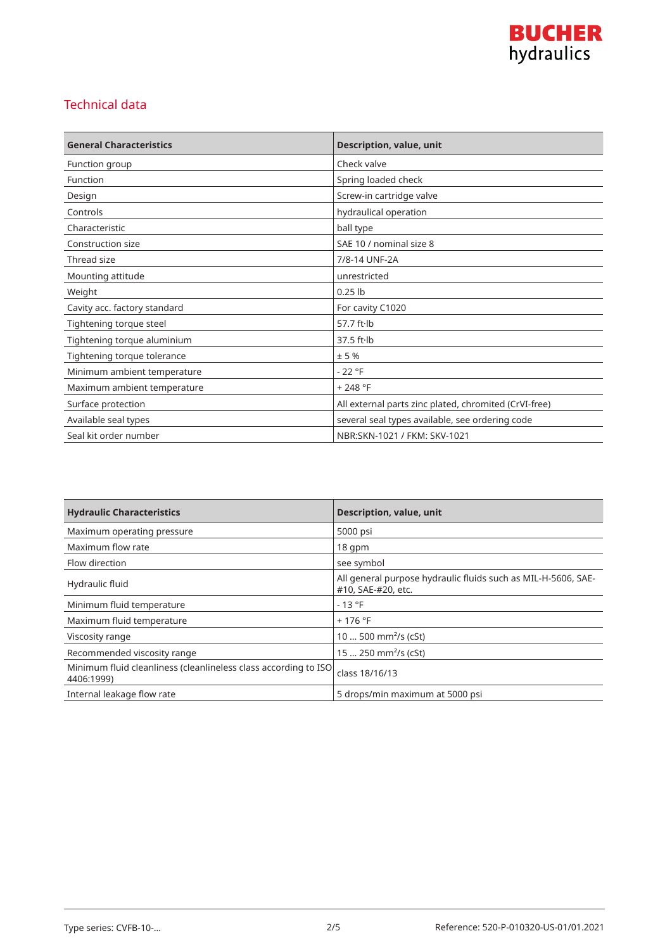

## Technical data

| <b>General Characteristics</b> | Description, value, unit                              |
|--------------------------------|-------------------------------------------------------|
| Function group                 | Check valve                                           |
| Function                       | Spring loaded check                                   |
| Design                         | Screw-in cartridge valve                              |
| Controls                       | hydraulical operation                                 |
| Characteristic                 | ball type                                             |
| Construction size              | SAE 10 / nominal size 8                               |
| Thread size                    | 7/8-14 UNF-2A                                         |
| Mounting attitude              | unrestricted                                          |
| Weight                         | $0.25$ lb                                             |
| Cavity acc. factory standard   | For cavity C1020                                      |
| Tightening torque steel        | 57.7 ft·lb                                            |
| Tightening torque aluminium    | $37.5$ ft $\cdot$ lb                                  |
| Tightening torque tolerance    | ± 5%                                                  |
| Minimum ambient temperature    | $-22 °F$                                              |
| Maximum ambient temperature    | $+248 °F$                                             |
| Surface protection             | All external parts zinc plated, chromited (CrVI-free) |
| Available seal types           | several seal types available, see ordering code       |
| Seal kit order number          | NBR:SKN-1021 / FKM: SKV-1021                          |

| <b>Hydraulic Characteristics</b>                                              | <b>Description, value, unit</b>                                                     |
|-------------------------------------------------------------------------------|-------------------------------------------------------------------------------------|
| Maximum operating pressure                                                    | 5000 psi                                                                            |
| Maximum flow rate                                                             | $18$ qpm                                                                            |
| Flow direction                                                                | see symbol                                                                          |
| Hydraulic fluid                                                               | All general purpose hydraulic fluids such as MIL-H-5606, SAE-<br>#10, SAE-#20, etc. |
| Minimum fluid temperature                                                     | $-13 °F$                                                                            |
| Maximum fluid temperature                                                     | $+176$ °F                                                                           |
| Viscosity range                                                               | 10  500 mm <sup>2</sup> /s (cSt)                                                    |
| Recommended viscosity range                                                   | 15  250 mm <sup>2</sup> /s (cSt)                                                    |
| Minimum fluid cleanliness (cleanlineless class according to ISO<br>4406:1999) | class 18/16/13                                                                      |
| Internal leakage flow rate                                                    | 5 drops/min maximum at 5000 psi                                                     |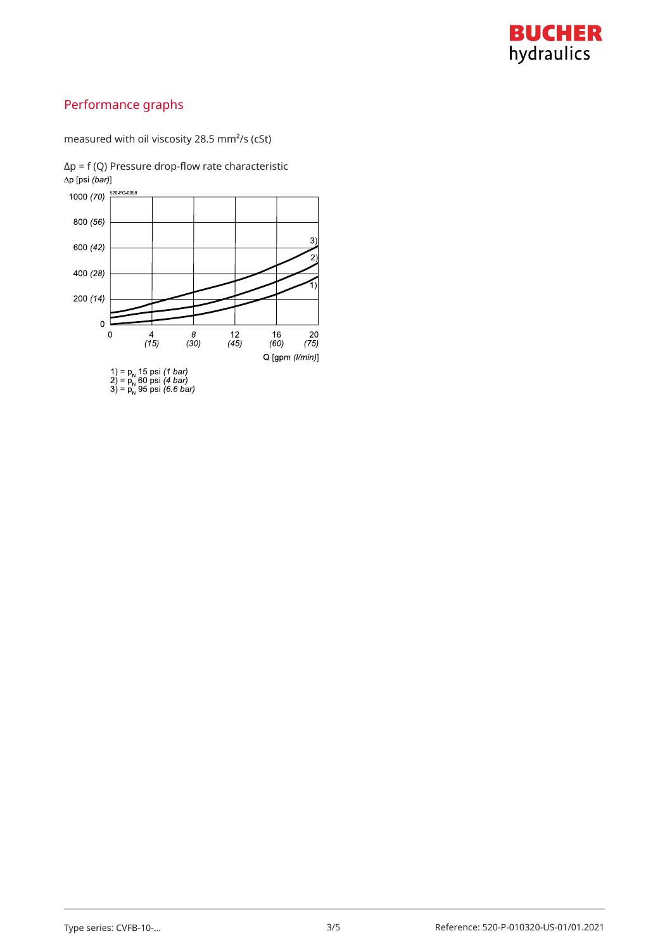

# Performance graphs

measured with oil viscosity 28.5 mm²/s (cSt)

 $Δp = f (Q)$  Pressure drop-flow rate characteristic  $Δp [psi (bar)]$ 

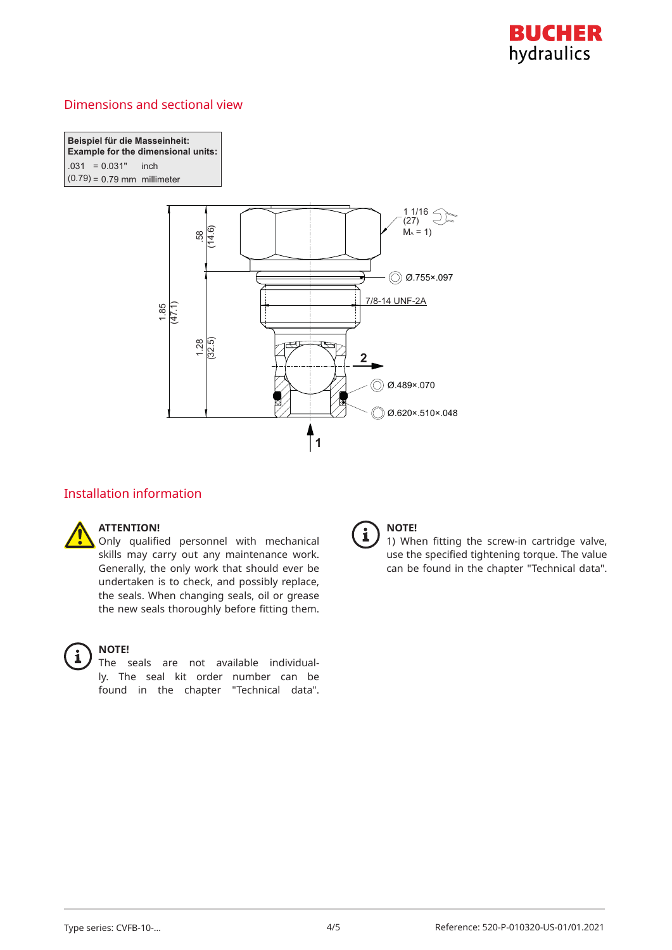

## Dimensions and sectional view

**Beispiel für die Masseinheit: Example for the dimensional units:** *C*( $-0.031$  inch  $(0.79) = 0.79$  mm millimeter



## Installation information

#### **ATTENTION!**

Only qualified personnel with mechanical skills may carry out any maintenance work. Generally, the only work that should ever be undertaken is to check, and possibly replace, the seals. When changing seals, oil or grease the new seals thoroughly before fitting them.



#### **NOTE!**

The seals are not available individually. The seal kit order number can be found in the chapter "Technical data".



## **NOTE!**

1) When fitting the screw-in cartridge valve, use the specified tightening torque. The value can be found in the chapter "Technical data".